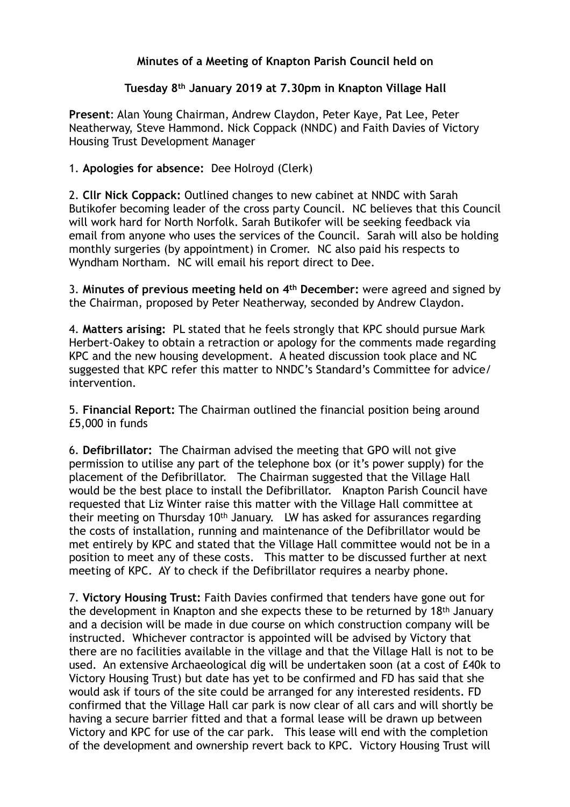## **Minutes of a Meeting of Knapton Parish Council held on**

## **Tuesday 8th January 2019 at 7.30pm in Knapton Village Hall**

**Present**: Alan Young Chairman, Andrew Claydon, Peter Kaye, Pat Lee, Peter Neatherway, Steve Hammond. Nick Coppack (NNDC) and Faith Davies of Victory Housing Trust Development Manager

## 1. **Apologies for absence:** Dee Holroyd (Clerk)

2. **Cllr Nick Coppack:** Outlined changes to new cabinet at NNDC with Sarah Butikofer becoming leader of the cross party Council. NC believes that this Council will work hard for North Norfolk. Sarah Butikofer will be seeking feedback via email from anyone who uses the services of the Council. Sarah will also be holding monthly surgeries (by appointment) in Cromer. NC also paid his respects to Wyndham Northam. NC will email his report direct to Dee.

3. **Minutes of previous meeting held on 4th December:** were agreed and signed by the Chairman, proposed by Peter Neatherway, seconded by Andrew Claydon.

4. **Matters arising:** PL stated that he feels strongly that KPC should pursue Mark Herbert-Oakey to obtain a retraction or apology for the comments made regarding KPC and the new housing development. A heated discussion took place and NC suggested that KPC refer this matter to NNDC's Standard's Committee for advice/ intervention.

5. **Financial Report:** The Chairman outlined the financial position being around £5,000 in funds

6. **Defibrillator:** The Chairman advised the meeting that GPO will not give permission to utilise any part of the telephone box (or it's power supply) for the placement of the Defibrillator. The Chairman suggested that the Village Hall would be the best place to install the Defibrillator. Knapton Parish Council have requested that Liz Winter raise this matter with the Village Hall committee at their meeting on Thursday 10th January. LW has asked for assurances regarding the costs of installation, running and maintenance of the Defibrillator would be met entirely by KPC and stated that the Village Hall committee would not be in a position to meet any of these costs. This matter to be discussed further at next meeting of KPC. AY to check if the Defibrillator requires a nearby phone.

7. **Victory Housing Trust:** Faith Davies confirmed that tenders have gone out for the development in Knapton and she expects these to be returned by 18th January and a decision will be made in due course on which construction company will be instructed. Whichever contractor is appointed will be advised by Victory that there are no facilities available in the village and that the Village Hall is not to be used. An extensive Archaeological dig will be undertaken soon (at a cost of £40k to Victory Housing Trust) but date has yet to be confirmed and FD has said that she would ask if tours of the site could be arranged for any interested residents. FD confirmed that the Village Hall car park is now clear of all cars and will shortly be having a secure barrier fitted and that a formal lease will be drawn up between Victory and KPC for use of the car park. This lease will end with the completion of the development and ownership revert back to KPC. Victory Housing Trust will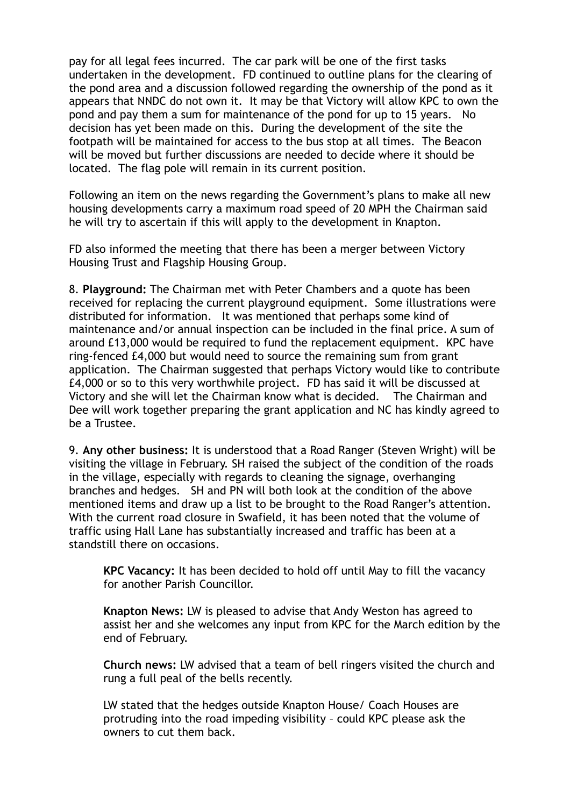pay for all legal fees incurred. The car park will be one of the first tasks undertaken in the development. FD continued to outline plans for the clearing of the pond area and a discussion followed regarding the ownership of the pond as it appears that NNDC do not own it. It may be that Victory will allow KPC to own the pond and pay them a sum for maintenance of the pond for up to 15 years. No decision has yet been made on this. During the development of the site the footpath will be maintained for access to the bus stop at all times. The Beacon will be moved but further discussions are needed to decide where it should be located. The flag pole will remain in its current position.

Following an item on the news regarding the Government's plans to make all new housing developments carry a maximum road speed of 20 MPH the Chairman said he will try to ascertain if this will apply to the development in Knapton.

FD also informed the meeting that there has been a merger between Victory Housing Trust and Flagship Housing Group.

8. **Playground:** The Chairman met with Peter Chambers and a quote has been received for replacing the current playground equipment. Some illustrations were distributed for information. It was mentioned that perhaps some kind of maintenance and/or annual inspection can be included in the final price. A sum of around £13,000 would be required to fund the replacement equipment. KPC have ring-fenced £4,000 but would need to source the remaining sum from grant application. The Chairman suggested that perhaps Victory would like to contribute £4,000 or so to this very worthwhile project. FD has said it will be discussed at Victory and she will let the Chairman know what is decided. The Chairman and Dee will work together preparing the grant application and NC has kindly agreed to be a Trustee.

9. **Any other business:** It is understood that a Road Ranger (Steven Wright) will be visiting the village in February. SH raised the subject of the condition of the roads in the village, especially with regards to cleaning the signage, overhanging branches and hedges. SH and PN will both look at the condition of the above mentioned items and draw up a list to be brought to the Road Ranger's attention. With the current road closure in Swafield, it has been noted that the volume of traffic using Hall Lane has substantially increased and traffic has been at a standstill there on occasions.

**KPC Vacancy:** It has been decided to hold off until May to fill the vacancy for another Parish Councillor.

**Knapton News:** LW is pleased to advise that Andy Weston has agreed to assist her and she welcomes any input from KPC for the March edition by the end of February.

**Church news:** LW advised that a team of bell ringers visited the church and rung a full peal of the bells recently.

 LW stated that the hedges outside Knapton House/ Coach Houses are protruding into the road impeding visibility – could KPC please ask the owners to cut them back.